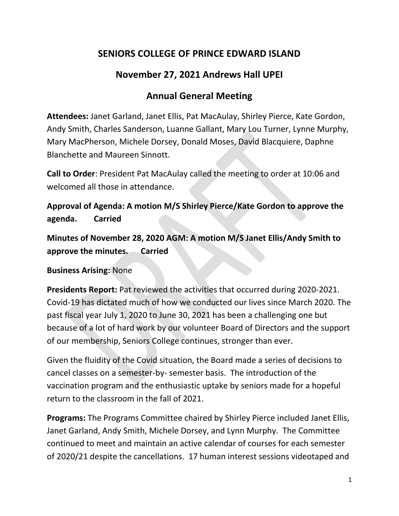## **SENIORS COLLEGE OF PRINCE EDWARD ISLAND**

# **November 27, 2021 Andrews Hall UPEI**

# **Annual General Meeting**

**Attendees:** Janet Garland, Janet Ellis, Pat MacAulay, Shirley Pierce, Kate Gordon, Andy Smith, Charles Sanderson, Luanne Gallant, Mary Lou Turner, Lynne Murphy, Mary MacPherson, Michele Dorsey, Donald Moses, David Blacquiere, Daphne Blanchette and Maureen Sinnott.

**Call to Order**: President Pat MacAulay called the meeting to order at 10:06 and welcomed all those in attendance.

**Approval of Agenda: A motion M/S Shirley Pierce/Kate Gordon to approve the agenda. Carried**

**Minutes of November 28, 2020 AGM: A motion M/S Janet Ellis/Andy Smith to approve the minutes. Carried**

**Business Arising:** None

**Presidents Report:** Pat reviewed the activities that occurred during 2020-2021. Covid-19 has dictated much of how we conducted our lives since March 2020. The past fiscal year July 1, 2020 to June 30, 2021 has been a challenging one but because of a lot of hard work by our volunteer Board of Directors and the support of our membership, Seniors College continues, stronger than ever.

Given the fluidity of the Covid situation, the Board made a series of decisions to cancel classes on a semester-by- semester basis. The introduction of the vaccination program and the enthusiastic uptake by seniors made for a hopeful return to the classroom in the fall of 2021.

**Programs:** The Programs Committee chaired by Shirley Pierce included Janet Ellis, Janet Garland, Andy Smith, Michele Dorsey, and Lynn Murphy. The Committee continued to meet and maintain an active calendar of courses for each semester of 2020/21 despite the cancellations. 17 human interest sessions videotaped and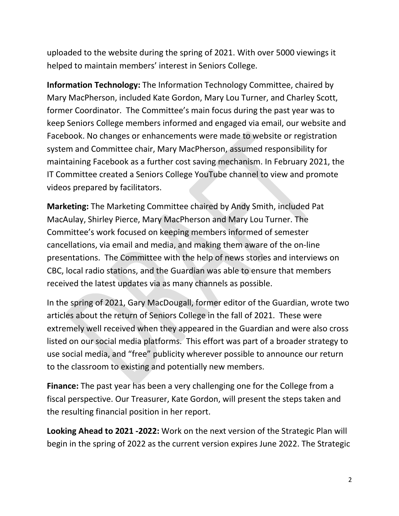uploaded to the website during the spring of 2021. With over 5000 viewings it helped to maintain members' interest in Seniors College.

**Information Technology:** The Information Technology Committee, chaired by Mary MacPherson, included Kate Gordon, Mary Lou Turner, and Charley Scott, former Coordinator. The Committee's main focus during the past year was to keep Seniors College members informed and engaged via email, our website and Facebook. No changes or enhancements were made to website or registration system and Committee chair, Mary MacPherson, assumed responsibility for maintaining Facebook as a further cost saving mechanism. In February 2021, the IT Committee created a Seniors College YouTube channel to view and promote videos prepared by facilitators.

**Marketing:** The Marketing Committee chaired by Andy Smith, included Pat MacAulay, Shirley Pierce, Mary MacPherson and Mary Lou Turner. The Committee's work focused on keeping members informed of semester cancellations, via email and media, and making them aware of the on-line presentations. The Committee with the help of news stories and interviews on CBC, local radio stations, and the Guardian was able to ensure that members received the latest updates via as many channels as possible.

In the spring of 2021, Gary MacDougall, former editor of the Guardian, wrote two articles about the return of Seniors College in the fall of 2021. These were extremely well received when they appeared in the Guardian and were also cross listed on our social media platforms. This effort was part of a broader strategy to use social media, and "free" publicity wherever possible to announce our return to the classroom to existing and potentially new members.

**Finance:** The past year has been a very challenging one for the College from a fiscal perspective. Our Treasurer, Kate Gordon, will present the steps taken and the resulting financial position in her report.

**Looking Ahead to 2021 -2022:** Work on the next version of the Strategic Plan will begin in the spring of 2022 as the current version expires June 2022. The Strategic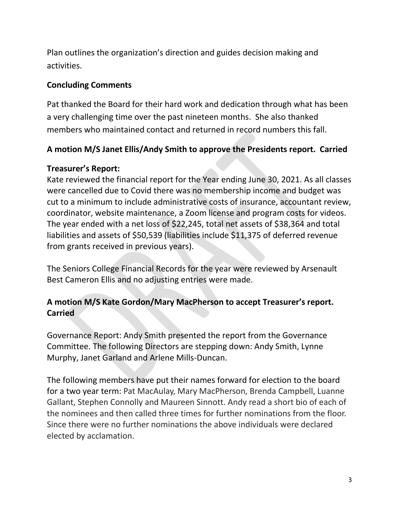Plan outlines the organization's direction and guides decision making and activities.

#### **Concluding Comments**

Pat thanked the Board for their hard work and dedication through what has been a very challenging time over the past nineteen months. She also thanked members who maintained contact and returned in record numbers this fall.

## **A motion M/S Janet Ellis/Andy Smith to approve the Presidents report. Carried**

### **Treasurer's Report:**

Kate reviewed the financial report for the Year ending June 30, 2021. As all classes were cancelled due to Covid there was no membership income and budget was cut to a minimum to include administrative costs of insurance, accountant review, coordinator, website maintenance, a Zoom license and program costs for videos. The year ended with a net loss of \$22,245, total net assets of \$38,364 and total liabilities and assets of \$50,539 (liabilities include \$11,375 of deferred revenue from grants received in previous years).

The Seniors College Financial Records for the year were reviewed by Arsenault Best Cameron Ellis and no adjusting entries were made.

## **A motion M/S Kate Gordon/Mary MacPherson to accept Treasurer's report. Carried**

Governance Report: Andy Smith presented the report from the Governance Committee. The following Directors are stepping down: Andy Smith, Lynne Murphy, Janet Garland and Arlene Mills-Duncan.

The following members have put their names forward for election to the board for a two year term: Pat MacAulay, Mary MacPherson, Brenda Campbell, Luanne Gallant, Stephen Connolly and Maureen Sinnott. Andy read a short bio of each of the nominees and then called three times for further nominations from the floor. Since there were no further nominations the above individuals were declared elected by acclamation.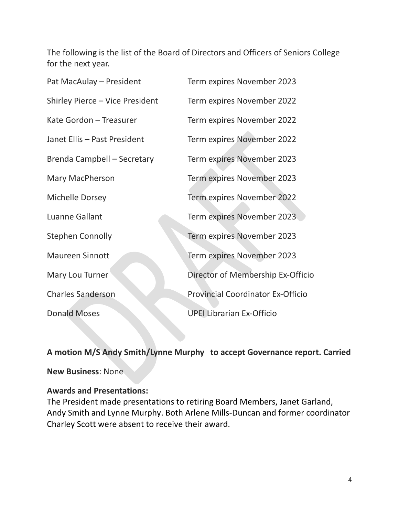The following is the list of the Board of Directors and Officers of Seniors College for the next year.

| Pat MacAulay - President        | Term expires November 2023               |
|---------------------------------|------------------------------------------|
| Shirley Pierce - Vice President | Term expires November 2022               |
| Kate Gordon - Treasurer         | Term expires November 2022               |
| Janet Ellis - Past President    | Term expires November 2022               |
| Brenda Campbell - Secretary     | Term expires November 2023               |
| <b>Mary MacPherson</b>          | Term expires November 2023               |
| <b>Michelle Dorsey</b>          | Term expires November 2022               |
| Luanne Gallant                  | Term expires November 2023               |
| <b>Stephen Connolly</b>         | Term expires November 2023               |
| <b>Maureen Sinnott</b>          | Term expires November 2023               |
| Mary Lou Turner                 | Director of Membership Ex-Officio        |
| <b>Charles Sanderson</b>        | <b>Provincial Coordinator Ex-Officio</b> |
| <b>Donald Moses</b>             | <b>UPEI Librarian Ex-Officio</b>         |

**A motion M/S Andy Smith/Lynne Murphy to accept Governance report. Carried**

**New Business**: None

#### **Awards and Presentations:**

The President made presentations to retiring Board Members, Janet Garland, Andy Smith and Lynne Murphy. Both Arlene Mills-Duncan and former coordinator Charley Scott were absent to receive their award.